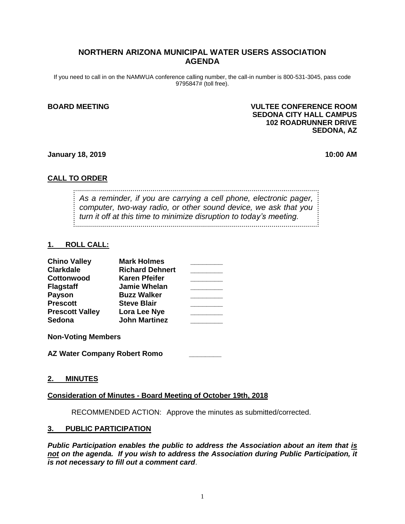## **NORTHERN ARIZONA MUNICIPAL WATER USERS ASSOCIATION AGENDA**

If you need to call in on the NAMWUA conference calling number, the call-in number is 800-531-3045, pass code 9795847# (toll free).

### **BOARD MEETING VULTEE CONFERENCE ROOM SEDONA CITY HALL CAMPUS 102 ROADRUNNER DRIVE SEDONA, AZ**

### **January 18, 2019 10:00 AM**

## **CALL TO ORDER**

*As a reminder, if you are carrying a cell phone, electronic pager, computer, two-way radio, or other sound device, we ask that you turn it off at this time to minimize disruption to today's meeting.*

## **1. ROLL CALL:**

| <b>Chino Valley</b>    | <b>Mark Holmes</b>     |  |
|------------------------|------------------------|--|
| <b>Clarkdale</b>       | <b>Richard Dehnert</b> |  |
| Cottonwood             | <b>Karen Pfeifer</b>   |  |
| <b>Flagstaff</b>       | <b>Jamie Whelan</b>    |  |
| <b>Payson</b>          | <b>Buzz Walker</b>     |  |
| <b>Prescott</b>        | <b>Steve Blair</b>     |  |
| <b>Prescott Valley</b> | Lora Lee Nye           |  |
| <b>Sedona</b>          | <b>John Martinez</b>   |  |

**Non-Voting Members**

**AZ Water Company Robert Romo \_\_\_\_\_\_\_\_** 

## **2. MINUTES**

## **Consideration of Minutes - Board Meeting of October 19th, 2018**

RECOMMENDED ACTION: Approve the minutes as submitted/corrected.

#### **3. PUBLIC PARTICIPATION**

*Public Participation enables the public to address the Association about an item that is not on the agenda. If you wish to address the Association during Public Participation, it is not necessary to fill out a comment card*.